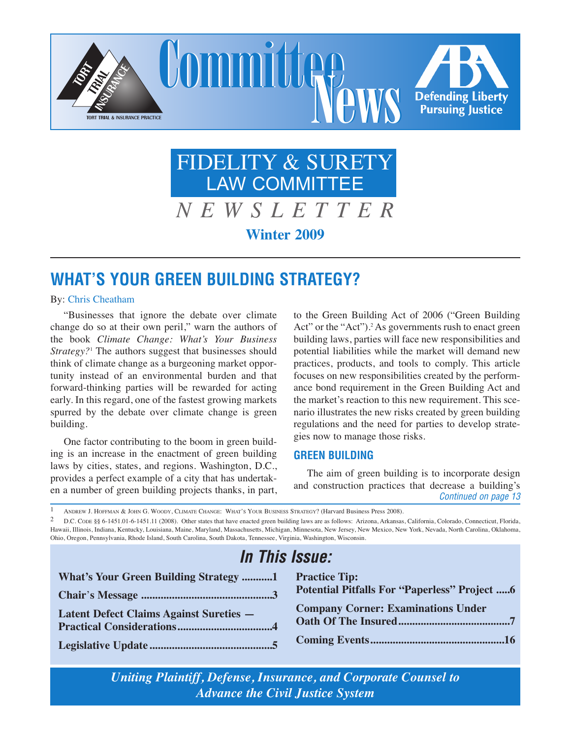

# FIDELITY & SURETY LAW COMMITTEE

*N E W S L E T T E R* **Winter 2009**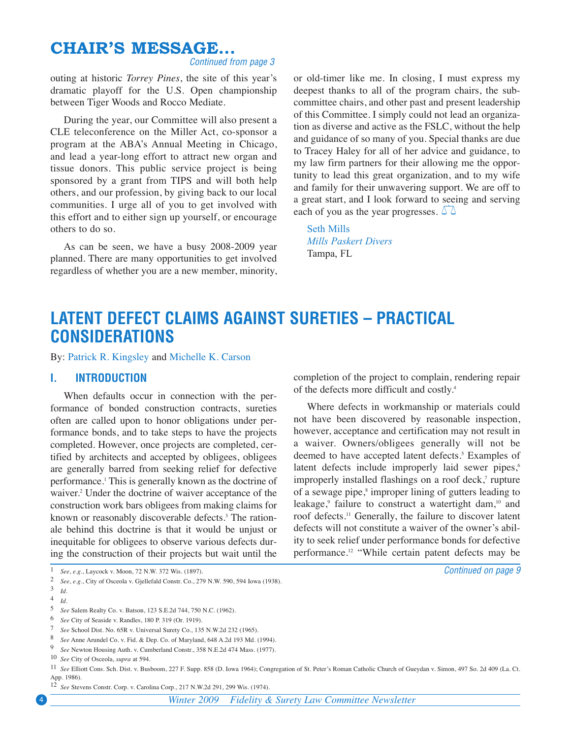# <span id="page-1-0"></span>**LATENT DEFECT CLAIMS AGAINST SURETIES – PRACTICAL CONSIDERATIONS**

By: Patrick R. [Kingsley](http://www.stradley.com/bios.php?action=view&id=70) and [Michelle](http://www.stradley.com/bios.php?action=view&id=189) K. Carson

### **I. INTRODUCTION**

When defaults occur in connection with the performance of bonded construction contracts, sureties often are called upon to honor obligations under performance bonds, and to take steps to have the projects completed. However, once projects are completed, certified by architects and accepted by obligees, obligees are generally barred from seeking relief for defective performance. <sup>1</sup> This is generally known as the doctrine of waiver. <sup>2</sup> Under the doctrine of waiver acceptance of the construction work bars obligees from making claims for known or reasonably discoverable defects. <sup>3</sup> The rationale behind this doctrine is that it would be unjust or inequitable for obligees to observe various defects during the construction of their projects but wait until the completion of the project to complain, rendering repair of the defects more difficult and costly. 4

Where defects in workmanship or materials could not have been discovered by reasonable inspection, however, acceptance and certification may not result in a waiver. Owners/obligees generally will not be deemed to have accepted latent defects. <sup>5</sup> Examples of latent defects include improperly laid sewer pipes,<sup>6</sup> improperly installed flashings on a roof deck,<sup>7</sup> rupture of a sewage pipe, <sup>8</sup> improper lining of gutters leading to leakage,<sup>9</sup> failure to construct a watertight dam,<sup>10</sup> and roof defects. <sup>11</sup> Generally, the failure to discover latent defects will not constitute a waiver of the owner's ability to seek relief under performance bonds for defective performance. <sup>12</sup> "While certain patent defects may be

*Continued on page 9*

5 *See* Salem Realty Co. v. Batson, 123 S.E.2d 744, 750 N.C. (1962).

12 *See* Stevens Constr. Corp. v. Carolina Corp., 217 N.W.2d 291, 299 Wis. (1974).

4 *Winter 2009 Fidelity & Surety Law Committee Newsletter*

<sup>1</sup> *See*, *e.g.*, Laycock v. Moon, 72 N.W. 372 Wis. (1897).

<sup>2</sup> *See*, *e.g.*, City of Osceola v. Gjellefald Constr. Co., 279 N.W. 590, 594 Iowa (1938).

<sup>3</sup> *Id.*

<sup>4</sup> *Id.*

<sup>6</sup> *See* City of Seaside v. Randles, 180 P. 319 (Or. 1919).

<sup>7</sup> *See* School Dist. No. 65R v. Universal Surety Co., 135 N.W.2d 232 (1965).

<sup>8</sup> *See* Anne Arundel Co. v. Fid. & Dep. Co. of Maryland, 648 A.2d 193 Md. (1994).

See Newton Housing Auth. v. Cumberland Constr., 358 N.E.2d 474 Mass. (1977).

<sup>10</sup> *See* City of Osceola, *supra* at 594.

<sup>11</sup> *See* Elliott Cons. Sch. Dist. v. Busboom, 227 F. Supp. 858 (D. Iowa 1964); Congregation of St. Peter's Roman Catholic Church of Gueydan v. Simon, 497 So. 2d 409 (La. Ct. App. 1986).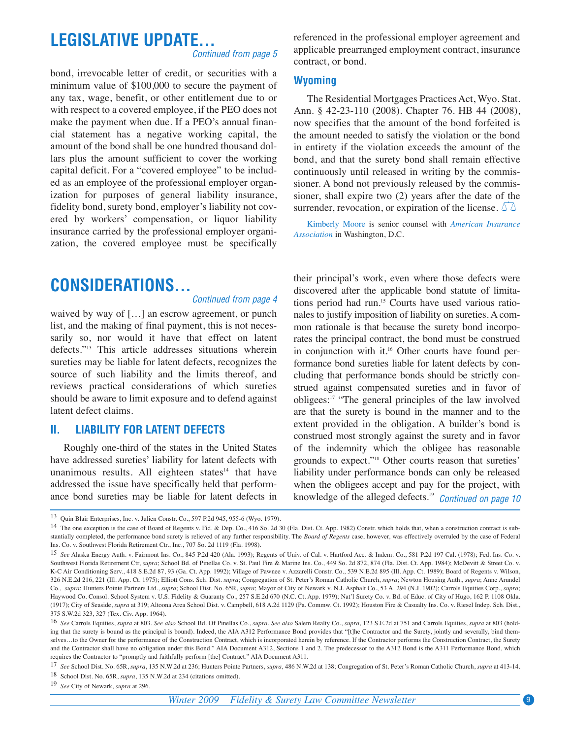# **CONSIDERATIONS...**

#### *Continued from page 4*

waived by way of [...] an escrow agreement, or punch list, and the making of final payment, this is not necessarily so, nor would it have that effect on latent defects."13 This article addresses situations wherein sureties may be liable for latent defects, recognizes the source of such liability and the limits thereof, and reviews practical considerations of which sureties should be aware to limit exposure and to defend against latent defect claims.

### **II. LIABILITY FOR LATENT DEFECTS**

Roughly one-third of the states in the United States have addressed sureties' liability for latent defects with unanimous results. All eighteen states $14$  that have addressed the issue have specifically held that performance bond sureties may be liable for latent defects in

their principal's work, even where those defects were discovered after the applicable bond statute of limitations period had run. <sup>15</sup> Courts have used various rationales to justify imposition of liability on sureties. A common rationale is that because the surety bond incorporates the principal contract, the bond must be construed in conjunction with it. <sup>16</sup> Other courts have found performance bond sureties liable for latent defects by concluding that performance bonds should be strictly construed against compensated sureties and in favor of obligees: <sup>17</sup> "The general principles of the law involved are that the surety is bound in the manner and to the extent provided in the obligation. A builder's bond is construed most strongly against the surety and in favor of the indemnity which the obligee has reasonable grounds to expect."18 Other courts reason that sureties' liability under performance bonds can only be released when the obligees accept and pay for the project, with knowledge of the alleged defects. 19 *Continued on page 10*

19 *See* City of Newark, *supra* at 296.

<sup>13</sup> Quin Blair Enterprises, Inc. v. Julien Constr. Co., 597 P.2d 945, 955-6 (Wyo. 1979).

<sup>&</sup>lt;sup>14</sup> The one exception is the case of Board of Regents v. Fid. & Dep. Co., 416 So. 2d 30 (Fla. Dist. Ct. App. 1982) Constr. which holds that, when a construction contract is substantially completed, the performance bond surety is relieved of any further responsibility. The *Board of Regents* case, however, was effectively overruled by the case of Federal Ins. Co. v. Southwest Florida Retirement Ctr., Inc., 707 So. 2d 1119 (Fla. 1998).

<sup>15</sup> *See* Alaska Energy Auth. v. Fairmont Ins. Co., 845 P.2d 420 (Ala. 1993); Regents of Univ. of Cal. v. Hartford Acc. & Indem. Co., 581 P.2d 197 Cal. (1978); Fed. Ins. Co. v. Southwest Florida Retirement Ctr, *supra*; School Bd. of Pinellas Co. v. St. Paul Fire & Marine Ins. Co., 449 So. 2d 872, 874 (Fla. Dist. Ct. App. 1984); McDevitt & Street Co. v. K-C Air Conditioning Serv., 418 S.E.2d 87, 93 (Ga. Ct. App. 1992); Village of Pawnee v. Azzarelli Constr. Co., 539 N.E.2d 895 (Ill. App. Ct. 1989); Board of Regents v. Wilson, 326 N.E.2d 216, 221 (Ill. App. Ct. 1975); Elliott Cons. Sch. Dist. *supra*; Congregation of St. Peter's Roman Catholic Church, *supra*; Newton Housing Auth., *supra*; Anne Arundel Co., *supra*; Hunters Pointe Partners Ltd., *supra*; School Dist. No. 65R, *supra*; Mayor of City of Newark v. N.J. Asphalt Co., 53 A. 294 (N.J. 1902); Carrols Equities Corp., *supra*; Haywood Co. Consol. School System v. U.S. Fidelity & Guaranty Co., 257 S.E.2d 670 (N.C. Ct. App. 1979); Nat'l Surety Co. v. Bd. of Educ. of City of Hugo, 162 P. 1108 Okla. (1917); City of Seaside, *supra* at 319; Altoona Area School Dist. v. Campbell, 618 A.2d 1129 (Pa. Commw. Ct. 1992); Houston Fire & Casualty Ins. Co. v. Riesel Indep. Sch. Dist., 375 S.W.2d 323, 327 (Tex. Civ. App. 1964).

<sup>&</sup>lt;sup>16</sup> See Carrols Equities, supra at 803. See also School Bd. Of Pinellas Co., supra. See also Salem Realty Co., supra, 123 S.E.2d at 751 and Carrols Equities, supra at 803 (holding that the surety is bound as the principal is bound). Indeed, the AIA A312 Performance Bond provides that "[t]he Contractor and the Surety, jointly and severally, bind themselves...to the Owner for the performance of the Construction Contract, which is incorporated herein by reference. If the Contractor performs the Construction Contract, the Surety and the Contractor shall have no obligation under this Bond." AIA Document A312, Sections 1 and 2. The predecessor to the A312 Bond is the A311 Performance Bond, which requires the Contractor to "promptly and faithfully perform [the] Contract." AIA Document A311.

<sup>17</sup> *See* School Dist. No. 65R, *supra*, 135 N.W.2d at 236; Hunters Pointe Partners, *supra*, 486 N.W.2d at 138; Congregation of St. Peter's Roman Catholic Church, *supra* at 413-14.

<sup>18</sup> School Dist. No. 65R, *supra*, 135 N.W.2d at 234 (citations omitted).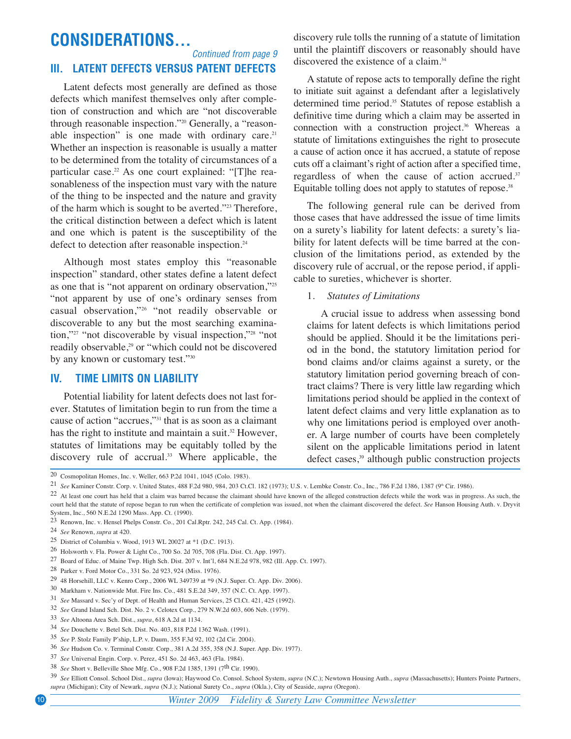# **CONSIDERATIONS...**

## **III. LATENT DEFECTS VERSUS PATENT DEFECTS**

*Continued from page 9*

Latent defects most generally are defined as those defects which manifest themselves only after completion of construction and which are "not discoverable through reasonable inspection."20 Generally, a "reasonable inspection" is one made with ordinary care.<sup>21</sup> Whether an inspection is reasonable is usually a matter to be determined from the totality of circumstances of a particular case. <sup>22</sup> As one court explained: "[T]he reasonableness of the inspection must vary with the nature of the thing to be inspected and the nature and gravity of the harm which is sought to be averted."23 Therefore, the critical distinction between a defect which is latent and one which is patent is the susceptibility of the defect to detection after reasonable inspection. 24

Although most states employ this "reasonable inspection" standard, other states define a latent defect as one that is "not apparent on ordinary observation,"25 "not apparent by use of one's ordinary senses from casual observation,"26 "not readily observable or discoverable to any but the most searching examination,"27 "not discoverable by visual inspection,"28 "not readily observable, <sup>29</sup> or "which could not be discovered by any known or customary test."30

### **IV. TIME LIMITS ON LIABILITY**

Potential liability for latent defects does not last forever. Statutes of limitation begin to run from the time a cause of action "accrues,"31 that is as soon as a claimant has the right to institute and maintain a suit. <sup>32</sup> However, statutes of limitations may be equitably tolled by the discovery rule of accrual. <sup>33</sup> Where applicable, the

discovery rule tolls the running of a statute of limitation until the plaintiff discovers or reasonably should have discovered the existence of a claim. 34

A statute of repose acts to temporally define the right to initiate suit against a defendant after a legislatively determined time period. <sup>35</sup> Statutes of repose establish a definitive time during which a claim may be asserted in connection with a construction project. <sup>36</sup> Whereas a statute of limitations extinguishes the right to prosecute a cause of action once it has accrued, a statute of repose cuts off a claimant's right of action after a specified time, regardless of when the cause of action accrued. 37 Equitable tolling does not apply to statutes of repose. 38

The following general rule can be derived from those cases that have addressed the issue of time limits on a surety's liability for latent defects: a surety's liability for latent defects will be time barred at the conclusion of the limitations period, as extended by the discovery rule of accrual, or the repose period, if applicable to sureties, whichever is shorter.

#### 1. *Statutes of Limitations*

A crucial issue to address when assessing bond claims for latent defects is which limitations period should be applied. Should it be the limitations period in the bond, the statutory limitation period for bond claims and/or claims against a surety, or the statutory limitation period governing breach of contract claims? There is very little law regarding which limitations period should be applied in the context of latent defect claims and very little explanation as to why one limitations period is employed over another. A large number of courts have been completely silent on the applicable limitations period in latent defect cases, <sup>39</sup> although public construction projects

20 Cosmopolitan Homes, Inc. v. Weller, 663 P.2d 1041, 1045 (Colo. 1983).

21 See Kaminer Constr. Corp. v. United States, 488 F.2d 980, 984, 203 Ct.Cl. 182 (1973); U.S. v. Lembke Constr. Co., Inc., 786 F.2d 1386, 1387 (9<sup>th</sup> Cir. 1986).

<sup>22</sup> At least one court has held that a claim was barred because the claimant should have known of the alleged construction defects while the work was in progress. As such, the court held that the statute of repose began to run when the certificate of completion was issued, not when the claimant discovered the defect. *See* Hanson Housing Auth. v. Dryvit System, Inc., 560 N.E.2d 1290 Mass. App. Ct. (1990).

<sup>23</sup> Renown, Inc. v. Hensel Phelps Constr. Co., 201 Cal.Rptr. 242, 245 Cal. Ct. App. (1984).

<sup>24</sup> *See* Renown, *supra* at 420.

<sup>25</sup> District of Columbia v. Wood, 1913 WL 20027 at \*1 (D.C. 1913).

<sup>26</sup> Holsworth v. Fla. Power & Light Co., 700 So. 2d 705, 708 (Fla. Dist. Ct. App. 1997).

<sup>27</sup> Board of Educ. of Maine Twp. High Sch. Dist. 207 v. Int'l, 684 N.E.2d 978, 982 (Ill. App. Ct. 1997).

<sup>28</sup> Parker v. Ford Motor Co., 331 So. 2d 923, 924 (Miss. 1976).

<sup>29</sup> 48 Horsehill, LLC v. Kenro Corp., 2006 WL 349739 at \*9 (N.J. Super. Ct. App. Div. 2006).

<sup>30</sup> Markham v. Nationwide Mut. Fire Ins. Co., 481 S.E.2d 349, 357 (N.C. Ct. App. 1997).

<sup>31</sup> *See* Massard v. Sec'y of Dept. of Health and Human Services, 25 Cl.Ct. 421, 425 (1992).

<sup>32</sup> *See* Grand Island Sch. Dist. No. 2 v. Celotex Corp., 279 N.W.2d 603, 606 Neb. (1979).

<sup>33</sup> *See* Altoona Area Sch. Dist., *supra*, 618 A.2d at 1134.

<sup>34</sup> *See* Douchette v. Betel Sch. Dist. No. 403, 818 P.2d 1362 Wash. (1991).

<sup>35</sup> *See* P. Stolz Family P'ship, L.P. v. Daum, 355 F.3d 92, 102 (2d Cir. 2004).

<sup>36</sup> *See* Hudson Co. v. Terminal Constr. Corp., 381 A.2d 355, 358 (N.J. Super. App. Div. 1977).

<sup>37</sup> *See* Universal Engin. Corp. v. Perez, 451 So. 2d 463, 463 (Fla. 1984).

<sup>38</sup> *See* Short v. Belleville Shoe Mfg. Co., 908 F.2d 1385, 1391 (7th Cir. 1990).

<sup>39</sup> *See* Elliott Consol. School Dist., *supra* (Iowa); Haywood Co. Consol. School System, *supra* (N.C.); Newtown Housing Auth., *supra* (Massachusetts); Hunters Pointe Partners, *supra* (Michigan); City of Newark, *supra* (N.J.); National Surety Co., *supra* (Okla.), City of Seaside, *supra* (Oregon).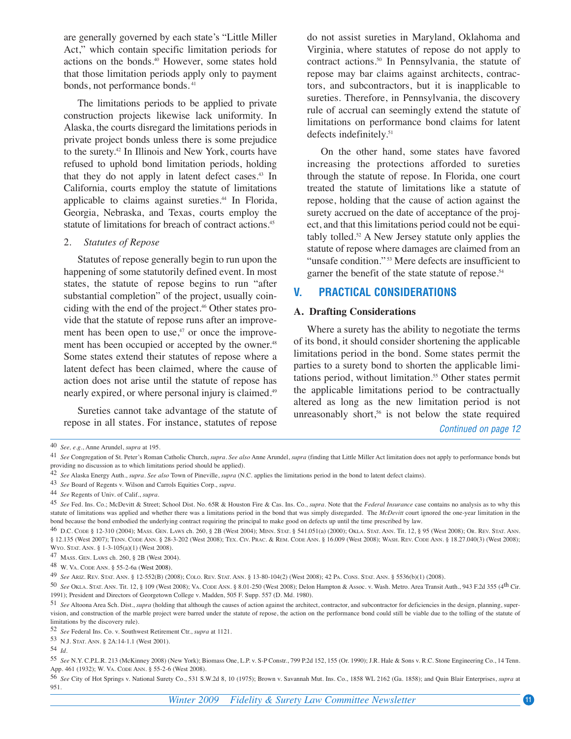are generally governed by each state's "Little Miller Act," which contain specific limitation periods for actions on the bonds. <sup>40</sup> However, some states hold that those limitation periods apply only to payment bonds, not performance bonds.<sup>41</sup>

The limitations periods to be applied to private construction projects likewise lack uniformity. In Alaska, the courts disregard the limitations periods in private project bonds unless there is some prejudice to the surety. <sup>42</sup> In Illinois and New York, courts have refused to uphold bond limitation periods, holding that they do not apply in latent defect cases. <sup>43</sup> In California, courts employ the statute of limitations applicable to claims against sureties. <sup>44</sup> In Florida, Georgia, Nebraska, and Texas, courts employ the statute of limitations for breach of contract actions. 45

#### 2. *Statutes of Repose*

Statutes of repose generally begin to run upon the happening of some statutorily defined event. In most states, the statute of repose begins to run "after substantial completion" of the project, usually coinciding with the end of the project. <sup>46</sup> Other states provide that the statute of repose runs after an improvement has been open to use,<sup>47</sup> or once the improvement has been occupied or accepted by the owner.<sup>48</sup> Some states extend their statutes of repose where a latent defect has been claimed, where the cause of action does not arise until the statute of repose has nearly expired, or where personal injury is claimed. 49

Sureties cannot take advantage of the statute of repose in all states. For instance, statutes of repose

do not assist sureties in Maryland, Oklahoma and Virginia, where statutes of repose do not apply to contract actions. <sup>50</sup> In Pennsylvania, the statute of repose may bar claims against architects, contractors, and subcontractors, but it is inapplicable to sureties. Therefore, in Pennsylvania, the discovery rule of accrual can seemingly extend the statute of limitations on performance bond claims for latent defects indefinitely. 51

On the other hand, some states have favored increasing the protections afforded to sureties through the statute of repose. In Florida, one court treated the statute of limitations like a statute of repose, holding that the cause of action against the surety accrued on the date of acceptance of the project, and that this limitations period could not be equitably tolled. <sup>52</sup> A New Jersey statute only applies the statute of repose where damages are claimed from an "unsafe condition."<sup>53</sup> Mere defects are insufficient to garner the benefit of the state statute of repose. 54

### **V. PRACTICAL CONSIDERATIONS**

#### **A. Drafting Considerations**

Where a surety has the ability to negotiate the terms of its bond, it should consider shortening the applicable limitations period in the bond. Some states permit the parties to a surety bond to shorten the applicable limitations period, without limitation. <sup>55</sup> Other states permit the applicable limitations period to be contractually altered as long as the new limitation period is not unreasonably short, <sup>56</sup> is not below the state required

*Continued on page 12*

<sup>40</sup> *See, e.g.*, Anne Arundel, *supra* at 195.

<sup>41</sup> *See* Congregation of St. Peter's Roman Catholic Church, *supra*. *See also* Anne Arundel, *supra* (finding that Little Miller Act limitation does not apply to performance bonds but providing no discussion as to which limitations period should be applied).

<sup>42</sup> *See* Alaska Energy Auth., *supra*. *See also* Town of Pineville, *supra* (N.C. applies the limitations period in the bond to latent defect claims).

<sup>43</sup> *See* Board of Regents v. Wilson and Carrols Equities Corp., *supra*.

<sup>44</sup> *See* Regents of Univ. of Calif., *supra.*

<sup>45</sup> *See* Fed. Ins. Co.; McDevitt & Street; School Dist. No. 65R & Houston Fire & Cas. Ins. Co., *supra.* Note that the *Federal Insurance* case contains no analysis as to why this statute of limitations was applied and whether there was a limitations period in the bond that was simply disregarded. The *McDevitt* court ignored the one-year limitation in the bond because the bond embodied the underlying contract requiring the principal to make good on defects up until the time prescribed by law.

<sup>46</sup> D.C. CODE § 12-310 (2004); MASS. GEN. LAWS ch. 260, § 2B (West 2004); MINN. STAT. § 541.051(a) (2000); OKLA. STAT. ANN. Tit. 12, § 95 (West 2008); OR. REV. STAT. ANN. § 12.135 (West 2007); TENN. CODE ANN. § 28-3-202 (West 2008); TEX. CIV. PRAC. & REM. CODE ANN. § 16.009 (West 2008); WASH. REV. CODE ANN. § 18.27.040(3) (West 2008); WYO. STAT. ANN. § 1-3-105(a)(1) (West 2008).

<sup>47</sup> MASS. GEN. LAWS ch. 260, § 2B (West 2004).

<sup>48</sup> W. VA. CODE ANN. § 55-2-6a (West 2008).

<sup>49</sup> *See* ARIZ. REV. STAT. ANN. § 12-552(B) (2008); COLO. REV. STAT. ANN. § 13-80-104(2) (West 2008); 42 PA. CONS. STAT. ANN. § 5536(b)(1) (2008).

<sup>50</sup> See OKLA. STAT. ANN. Tit. 12, § 109 (West 2008); VA. CODE ANN. § 8.01-250 (West 2008); Delon Hampton & Assoc. v. Wash. Metro. Area Transit Auth., 943 F.2d 355 (4<sup>th</sup> Cir. 1991); President and Directors of Georgetown College v. Madden, 505 F. Supp. 557 (D. Md. 1980).

<sup>51</sup> *See* Altoona Area Sch. Dist., *supra* (holding that although the causes of action against the architect, contractor, and subcontractor for deficiencies in the design, planning, supervision, and construction of the marble project were barred under the statute of repose, the action on the performance bond could still be viable due to the tolling of the statute of limitations by the discovery rule).

<sup>52</sup> *See* Federal Ins. Co. v. Southwest Retirement Ctr., *supra* at 1121.

<sup>53</sup> N.J. STAT. ANN. § 2A:14-1.1 (West 2001).

<sup>54</sup> *Id.*

<sup>55</sup> *See* N.Y. C.P.L.R. 213 (McKinney 2008) (New York); Biomass One, L.P. v. S-P Constr., 799 P.2d 152, 155 (Or. 1990); J.R. Hale & Sons v. R.C. Stone Engineering Co., 14 Tenn. App. 461 (1932); W. VA. CODE ANN. § 55-2-6 (West 2008).

<sup>56</sup> *See* City of Hot Springs v. National Surety Co., 531 S.W.2d 8, 10 (1975); Brown v. Savannah Mut. Ins. Co., 1858 WL 2162 (Ga. 1858); and Quin Blair Enterprises, *supra* at 951.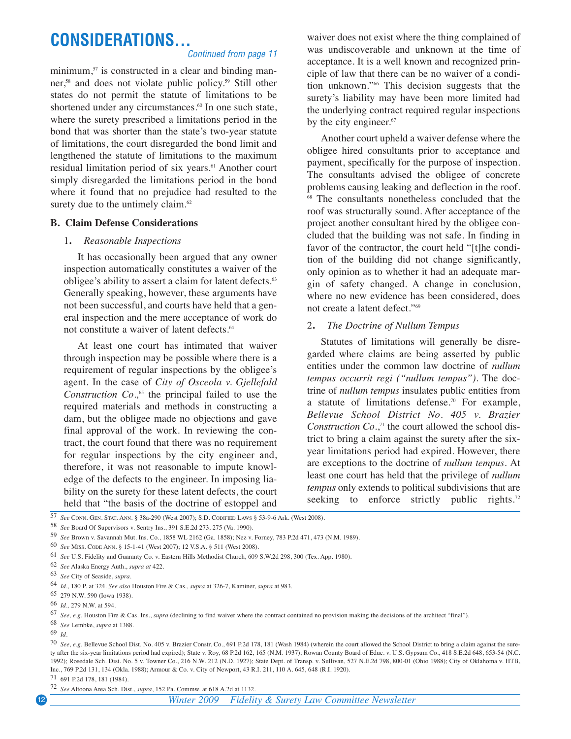# **CONSIDERATIONS...**

#### *Continued from page 11*

minimum, <sup>57</sup> is constructed in a clear and binding manner, <sup>58</sup> and does not violate public policy. <sup>59</sup> Still other states do not permit the statute of limitations to be shortened under any circumstances. <sup>60</sup> In one such state, where the surety prescribed a limitations period in the bond that was shorter than the state's two-year statute of limitations, the court disregarded the bond limit and lengthened the statute of limitations to the maximum residual limitation period of six years. <sup>61</sup> Another court simply disregarded the limitations period in the bond where it found that no prejudice had resulted to the surety due to the untimely claim.<sup>62</sup>

#### **B. Claim Defense Considerations**

#### 1**.** *Reasonable Inspections*

It has occasionally been argued that any owner inspection automatically constitutes a waiver of the obligee's ability to assert a claim for latent defects. 63 Generally speaking, however, these arguments have not been successful, and courts have held that a general inspection and the mere acceptance of work do not constitute a waiver of latent defects. 64

At least one court has intimated that waiver through inspection may be possible where there is a requirement of regular inspections by the obligee's agent. In the case of *City of Osceola v. Gjellefald Construction Co.,* <sup>65</sup> the principal failed to use the required materials and methods in constructing a dam, but the obligee made no objections and gave final approval of the work. In reviewing the contract, the court found that there was no requirement for regular inspections by the city engineer and, therefore, it was not reasonable to impute knowledge of the defects to the engineer. In imposing liability on the surety for these latent defects, the court held that "the basis of the doctrine of estoppel and

waiver does not exist where the thing complained of was undiscoverable and unknown at the time of acceptance. It is a well known and recognized principle of law that there can be no waiver of a condition unknown."66 This decision suggests that the surety's liability may have been more limited had the underlying contract required regular inspections by the city engineer.<sup>67</sup>

Another court upheld a waiver defense where the obligee hired consultants prior to acceptance and payment, specifically for the purpose of inspection. The consultants advised the obligee of concrete problems causing leaking and deflection in the roof. <sup>68</sup> The consultants nonetheless concluded that the roof was structurally sound. After acceptance of the project another consultant hired by the obligee concluded that the building was not safe. In finding in favor of the contractor, the court held "[t]he condition of the building did not change significantly, only opinion as to whether it had an adequate margin of safety changed. A change in conclusion, where no new evidence has been considered, does not create a latent defect."69

#### 2**.** *The Doctrine of Nullum Tempus*

Statutes of limitations will generally be disregarded where claims are being asserted by public entities under the common law doctrine of *nullum tempus occurrit regi ("nullum tempus")*. The doctrine of *nullum tempus* insulates public entities from a statute of limitations defense. <sup>70</sup> For example, *Bellevue School District No. 405 v. Brazier Construction*  $Co$ <sup>1</sup>,<sup>1</sup> the court allowed the school district to bring a claim against the surety after the sixyear limitations period had expired. However, there are exceptions to the doctrine of *nullum tempus.* At least one court has held that the privilege of *nullum tempus* only extends to political subdivisions that are seeking to enforce strictly public rights.<sup>72</sup>



<sup>58</sup> *See* Board Of Supervisors v. Sentry Ins., 391 S.E.2d 273, 275 (Va. 1990).

68 *See* Lembke, *supra* at 1388.

70 *See*, *e.g.* Bellevue School Dist. No. 405 v. Brazier Constr. Co., 691 P.2d 178, 181 (Wash 1984) (wherein the court allowed the School District to bring a claim against the surety after the six-year limitations period had expired); State v. Roy, 68 P.2d 162, 165 (N.M. 1937); Rowan County Board of Educ. v. U.S. Gypsum Co., 418 S.E.2d 648, 653-54 (N.C. 1992); Rosedale Sch. Dist. No. 5 v. Towner Co., 216 N.W. 212 (N.D. 1927); State Dept. of Transp. v. Sullivan, 527 N.E.2d 798, 800-01 (Ohio 1988); City of Oklahoma v. HTB, Inc., 769 P.2d 131, 134 (Okla. 1988); Armour & Co. v. City of Newport, 43 R.I. 211, 110 A. 645, 648 (R.I. 1920).

71 691 P.2d 178, 181 (1984).

<sup>59</sup> *See* Brown v. Savannah Mut. Ins. Co., 1858 WL 2162 (Ga. 1858); Nez v. Forney, 783 P.2d 471, 473 (N.M. 1989).

<sup>60</sup> *See* MISS. CODE ANN. § 15-1-41 (West 2007); 12 V.S.A. § 511 (West 2008).

<sup>61</sup> *See* U.S. Fidelity and Guaranty Co. v. Eastern Hills Methodist Church, 609 S.W.2d 298, 300 (Tex. App. 1980).

<sup>62</sup> *See* Alaska Energy Auth., *supra at* 422.

<sup>63</sup> *See* City of Seaside, *supra*.

<sup>64</sup> *Id.*, 180 P. at 324. *See also* Houston Fire & Cas., *supra* at 326-7, Kaminer, *supra* at 983.

<sup>65</sup> 279 N.W. 590 (Iowa 1938).

<sup>66</sup> *Id.,* 279 N.W. at 594.

<sup>67</sup> *See, e.g.* Houston Fire & Cas. Ins., *supra* (declining to find waiver where the contract contained no provision making the decisions of the architect "final").

<sup>69</sup> *Id.*

<sup>72</sup> *See* Altoona Area Sch. Dist., *supra*, 152 Pa. Commw. at 618 A.2d at 1132.